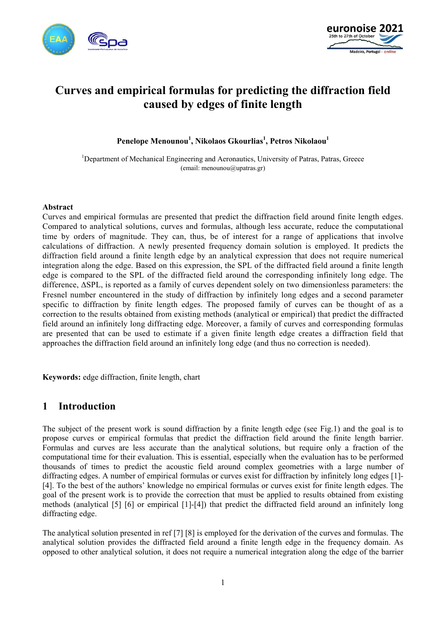



# **Curves and empirical formulas for predicting the diffraction field caused by edges of finite length**

**Penelope Menounou1 , Nikolaos Gkourlias1 , Petros Nikolaou1**

<sup>1</sup>Department of Mechanical Engineering and Aeronautics, University of Patras, Patras, Greece (email: menounou@upatras.gr)

#### **Abstract**

Curves and empirical formulas are presented that predict the diffraction field around finite length edges. Compared to analytical solutions, curves and formulas, although less accurate, reduce the computational time by orders of magnitude. They can, thus, be of interest for a range of applications that involve calculations of diffraction. A newly presented frequency domain solution is employed. It predicts the diffraction field around a finite length edge by an analytical expression that does not require numerical integration along the edge. Based on this expression, the SPL of the diffracted field around a finite length edge is compared to the SPL of the diffracted field around the corresponding infinitely long edge. The difference, ΔSPL, is reported as a family of curves dependent solely on two dimensionless parameters: the Fresnel number encountered in the study of diffraction by infinitely long edges and a second parameter specific to diffraction by finite length edges. The proposed family of curves can be thought of as a correction to the results obtained from existing methods (analytical or empirical) that predict the diffracted field around an infinitely long diffracting edge. Moreover, a family of curves and corresponding formulas are presented that can be used to estimate if a given finite length edge creates a diffraction field that approaches the diffraction field around an infinitely long edge (and thus no correction is needed).

**Keywords:** edge diffraction, finite length, chart

### **1 Introduction**

The subject of the present work is sound diffraction by a finite length edge (see Fig.1) and the goal is to propose curves or empirical formulas that predict the diffraction field around the finite length barrier. Formulas and curves are less accurate than the analytical solutions, but require only a fraction of the computational time for their evaluation. This is essential, especially when the evaluation has to be performed thousands of times to predict the acoustic field around complex geometries with a large number of diffracting edges. A number of empirical formulas or curves exist for diffraction by infinitely long edges [1]- [4]. To the best of the authors' knowledge no empirical formulas or curves exist for finite length edges. The goal of the present work is to provide the correction that must be applied to results obtained from existing methods (analytical [5] [6] or empirical [1]-[4]) that predict the diffracted field around an infinitely long diffracting edge.

The analytical solution presented in ref [7] [8] is employed for the derivation of the curves and formulas. The analytical solution provides the diffracted field around a finite length edge in the frequency domain. As opposed to other analytical solution, it does not require a numerical integration along the edge of the barrier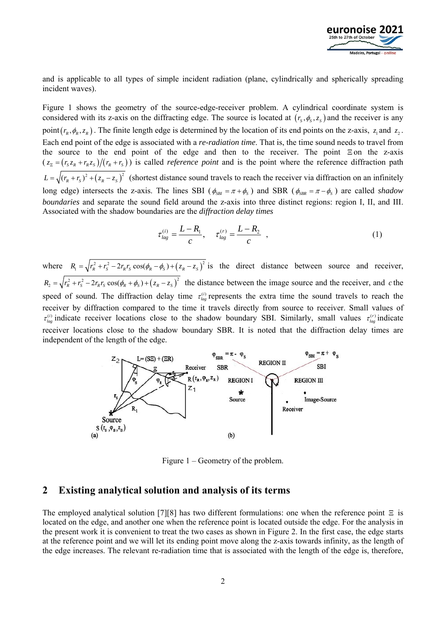

and is applicable to all types of simple incident radiation (plane, cylindrically and spherically spreading incident waves).

Figure 1 shows the geometry of the source-edge-receiver problem. A cylindrical coordinate system is considered with its z-axis on the diffracting edge. The source is located at  $(r_s, \phi_s, z_s)$  and the receiver is any point  $(r_R, \phi_R, z_R)$ . The finite length edge is determined by the location of its end points on the z-axis,  $z_1$  and  $z_2$ . Each end point of the edge is associated with a *re-radiation time*. That is, the time sound needs to travel from the source to the end point of the edge and then to the receiver. The point  $\Xi$  on the z-axis  $(z_{\overline{z}} = (r_s z_R + r_R z_s)/(r_R + r_s)$  is called *reference point* and is the point where the reference diffraction path  $L = \sqrt{(r_R + r_S)^2 + (z_R - z_S)^2}$  (shortest distance sound travels to reach the receiver via diffraction on an infinitely long edge) intersects the z-axis. The lines SBI ( $\phi_{SB} = \pi + \phi_s$ ) and SBR ( $\phi_{SBR} = \pi - \phi_s$ ) are called *shadow boundaries* and separate the sound field around the z-axis into three distinct regions: region I, II, and III. Associated with the shadow boundaries are the *diffraction delay times* 

$$
\tau_{lag}^{(i)} = \frac{L - R_1}{c}, \quad \tau_{lag}^{(r)} = \frac{L - R_2}{c} \quad , \tag{1}
$$

where  $R_1 = \sqrt{r_R^2 + r_S^2 - 2r_R r_S \cos(\phi_R - \phi_S) + (z_R - z_S)^2}$  is the direct distance between source and receiver,  $R_2 = \sqrt{r_R^2 + r_S^2} - 2r_R r_S \cos(\phi_R + \phi_S) + (z_R - z_S)^2$  the distance between the image source and the receiver, and *c* the speed of sound. The diffraction delay time  $\tau_{lag}^{(i)}$  represents the extra time the sound travels to reach the receiver by diffraction compared to the time it travels directly from source to receiver. Small values of  $\tau_{lag}^{(i)}$  indicate receiver locations close to the shadow boundary SBI. Similarly, small values  $\tau_{lag}^{(r)}$  indicate receiver locations close to the shadow boundary SBR. It is noted that the diffraction delay times are independent of the length of the edge.



Figure 1 – Geometry of the problem.

### **2 Existing analytical solution and analysis of its terms**

The employed analytical solution [7][8] has two different formulations: one when the reference point  $\Xi$  is located on the edge, and another one when the reference point is located outside the edge. For the analysis in the present work it is convenient to treat the two cases as shown in Figure 2. In the first case, the edge starts at the reference point and we will let its ending point move along the z-axis towards infinity, as the length of the edge increases. The relevant re-radiation time that is associated with the length of the edge is, therefore,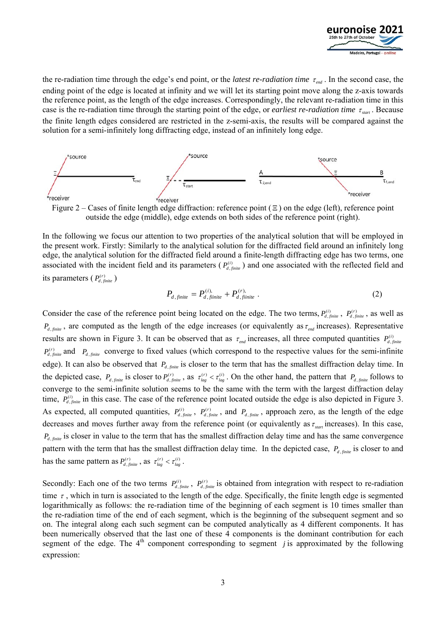

the re-radiation time through the edge's end point, or the *latest re-radiation time*  $\tau_{end}$ . In the second case, the ending point of the edge is located at infinity and we will let its starting point move along the z-axis towards the reference point, as the length of the edge increases. Correspondingly, the relevant re-radiation time in this case is the re-radiation time through the starting point of the edge, or *earliest re-radiation time*  $\tau_{\text{start}}$ . Because the finite length edges considered are restricted in the z-semi-axis, the results will be compared against the solution for a semi-infinitely long diffracting edge, instead of an infinitely long edge.



outside the edge (middle), edge extends on both sides of the reference point (right).

In the following we focus our attention to two properties of the analytical solution that will be employed in the present work. Firstly: Similarly to the analytical solution for the diffracted field around an infinitely long edge, the analytical solution for the diffracted field around a finite-length diffracting edge has two terms, one associated with the incident field and its parameters  $(P_{d, finite}^{(i)})$  and one associated with the reflected field and its parameters  $(P_{d, \text{finite}}^{(r)})$ 

$$
P_{d,finite} = P_{d,finite}^{(i)} + P_{d,finite}^{(r)}.
$$
\n
$$
(2)
$$

Consider the case of the reference point being located on the edge. The two terms,  $P_{d, finite}^{(i)}$ ,  $P_{d, finite}^{(r)}$ , as well as  $P_{d, finite}$ , are computed as the length of the edge increases (or equivalently as  $\tau_{end}$  increases). Representative results are shown in Figure 3. It can be observed that as  $\tau_{end}$  increases, all three computed quantities  $P_{d, finite}^{(i)}$  $P_{d, finite}^{(r)}$  and  $P_{d, finite}$  converge to fixed values (which correspond to the respective values for the semi-infinite edge). It can also be observed that  $P_{d, finite}$  is closer to the term that has the smallest diffraction delay time. In the depicted case,  $P_{d,\text{finite}}$  is closer to  $P_{d,\text{finite}}^{(r)}$ , as  $\tau_{lag}^{(r)} < \tau_{lag}^{(i)}$ . On the other hand, the pattern that  $P_{d,\text{finite}}$  follows to converge to the semi-infinite solution seems to be the same with the term with the largest diffraction delay time,  $P_{d, finite}^{(i)}$  in this case. The case of the reference point located outside the edge is also depicted in Figure 3. As expected, all computed quantities,  $P_{d, finite}^{(i)}$ ,  $P_{d, finite}^{(r)}$ , and  $P_{d, finite}$ , approach zero, as the length of the edge decreases and moves further away from the reference point (or equivalently as  $\tau_{start}$  increases). In this case,  $P_{d, finite}$  is closer in value to the term that has the smallest diffraction delay time and has the same convergence pattern with the term that has the smallest diffraction delay time. In the depicted case,  $P_{d, finite}$  is closer to and has the same pattern as  $P_{d, finite}^{(r)}$ , as  $\tau_{lag}^{(r)} < \tau_{lag}^{(i)}$ .

Secondly: Each one of the two terms  $P_{d, finite}^{(i)}$ ,  $P_{d, finite}^{(r)}$  is obtained from integration with respect to re-radiation time  $\tau$ , which in turn is associated to the length of the edge. Specifically, the finite length edge is segmented logarithmically as follows: the re-radiation time of the beginning of each segment is 10 times smaller than the re-radiation time of the end of each segment, which is the beginning of the subsequent segment and so on. The integral along each such segment can be computed analytically as 4 different components. It has been numerically observed that the last one of these 4 components is the dominant contribution for each segment of the edge. The  $4<sup>th</sup>$  component corresponding to segment *j* is approximated by the following expression: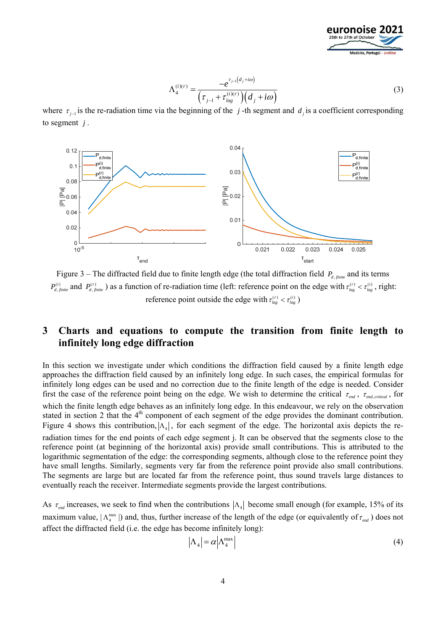

$$
\Lambda_4^{(i)(r)} = \frac{-e^{\tau_{j-1}(d_j + i\omega)}}{\left(\tau_{j-1} + \tau_{lag}^{(i)(r)}\right)\left(d_j + i\omega\right)}
$$
(3)

where  $\tau_{i-1}$  is the re-radiation time via the beginning of the *j*-th segment and *d<sub>i</sub>* is a coefficient corresponding to segment *j* .



Figure 3 – The diffracted field due to finite length edge (the total diffraction field  $P_{d \text{ finite}}$  and its terms  $P_{d, finite}^{(i)}$  and  $P_{d, finite}^{(r)}$ ) as a function of re-radiation time (left: reference point on the edge with  $\tau_{lag}^{(r)} < \tau_{lag}^{(i)}$ , right: reference point outside the edge with  $\tau_{lag}^{(r)} < \tau_{lag}^{(i)}$ )

# **3 Charts and equations to compute the transition from finite length to infinitely long edge diffraction**

In this section we investigate under which conditions the diffraction field caused by a finite length edge approaches the diffraction field caused by an infinitely long edge. In such cases, the empirical formulas for infinitely long edges can be used and no correction due to the finite length of the edge is needed. Consider first the case of the reference point being on the edge. We wish to determine the critical  $\tau_{end}$ ,  $\tau_{end, critical}$ , for which the finite length edge behaves as an infinitely long edge. In this endeavour, we rely on the observation stated in section 2 that the  $4<sup>th</sup>$  component of each segment of the edge provides the dominant contribution. Figure 4 shows this contribution,  $|\Lambda_{\alpha}|$ , for each segment of the edge. The horizontal axis depicts the reradiation times for the end points of each edge segment j. It can be observed that the segments close to the reference point (at beginning of the horizontal axis) provide small contributions. This is attributed to the logarithmic segmentation of the edge: the corresponding segments, although close to the reference point they have small lengths. Similarly, segments very far from the reference point provide also small contributions. The segments are large but are located far from the reference point, thus sound travels large distances to eventually reach the receiver. Intermediate segments provide the largest contributions.

As  $\tau_{end}$  increases, we seek to find when the contributions  $|\Lambda_4|$  become small enough (for example, 15% of its maximum value,  $|\Lambda_4^{\text{max}}|$ ) and, thus, further increase of the length of the edge (or equivalently of  $\tau_{end}$ ) does not affect the diffracted field (i.e. the edge has become infinitely long):

$$
\left|\Lambda_4\right| = \alpha \left|\Lambda_4^{\max}\right| \tag{4}
$$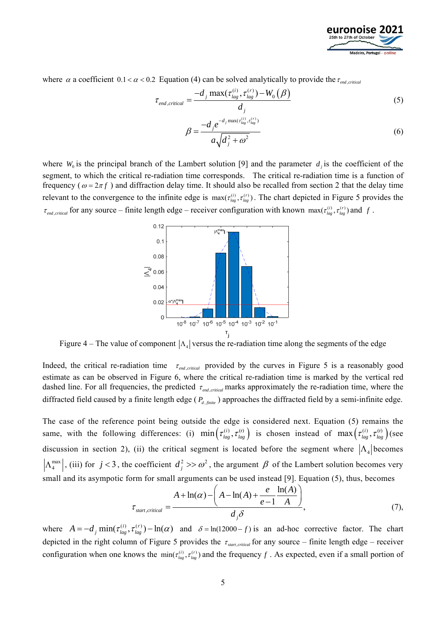

where  $\alpha$  a coefficient  $0.1 < \alpha < 0.2$  Equation (4) can be solved analytically to provide the  $\tau_{end\text{ critical}}$ 

$$
\tau_{end,critical} = \frac{-d_j \max(\tau_{lag}^{(i)}, \tau_{lag}^{(r)}) - W_0(\beta)}{d_j}
$$
\n(5)

$$
\beta = \frac{-d_j e^{-d_j \max(\tau_{lag}^{(i)}, \tau_{lag}^{(r)})}}{a \sqrt{d_j^2 + \omega^2}}
$$
(6)

where  $W_0$  is the principal branch of the Lambert solution [9] and the parameter  $d_i$  is the coefficient of the segment, to which the critical re-radiation time corresponds. The critical re-radiation time is a function of frequency ( $\omega = 2\pi f$ ) and diffraction delay time. It should also be recalled from section 2 that the delay time relevant to the convergence to the infinite edge is  $max(r_{lag}^{(i)}, r_{lag}^{(r)})$ . The chart depicted in Figure 5 provides the  $\tau_{end, critical}$  for any source – finite length edge – receiver configuration with known max $(\tau_{lag}^{(i)}, \tau_{lag}^{(r)})$  and *f*.



Figure 4 – The value of component  $|\Lambda_4|$  versus the re-radiation time along the segments of the edge

Indeed, the critical re-radiation time  $\tau_{end. critical}$  provided by the curves in Figure 5 is a reasonably good estimate as can be observed in Figure 6, where the critical re-radiation time is marked by the vertical red dashed line. For all frequencies, the predicted  $\tau_{end, critical}$  marks approximately the re-radiation time, where the diffracted field caused by a finite length edge ( $P_{d, finite}$ ) approaches the diffracted field by a semi-infinite edge.

The case of the reference point being outside the edge is considered next. Equation (5) remains the same, with the following differences: (i)  $\min(\tau_{lag}^{(i)}, \tau_{lag}^{(r)})$  is chosen instead of  $\max(\tau_{lag}^{(i)}, \tau_{lag}^{(r)})$  (see discussion in section 2), (ii) the critical segment is located before the segment where  $|\Lambda_4|$  becomes  $\Lambda_4^{\max}$ , (iii) for  $j < 3$ , the coefficient  $d_j^2 > \omega^2$ , the argument  $\beta$  of the Lambert solution becomes very small and its asympotic form for small arguments can be used instead [9]. Equation (5), thus, becomes

$$
\tau_{\text{start, critical}} = \frac{A + \ln(\alpha) - \left(A - \ln(A) + \frac{e}{e - 1} \frac{\ln(A)}{A}\right)}{d_j \delta},\tag{7}
$$

where  $A = -d_i \min(\tau_{lag}^{(i)}, \tau_{lag}^{(r)}) - \ln(\alpha)$  and  $\delta = \ln(12000 - f)$  is an ad-hoc corrective factor. The chart depicted in the right column of Figure 5 provides the  $\tau_{\text{start, critical}}$  for any source – finite length edge – receiver configuration when one knows the  $\min(\tau_{lag}^{(i)}, \tau_{lag}^{(r)})$  and the frequency *f*. As expected, even if a small portion of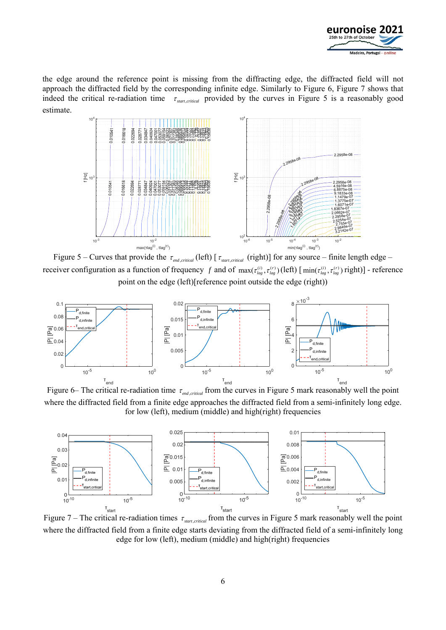

the edge around the reference point is missing from the diffracting edge, the diffracted field will not approach the diffracted field by the corresponding infinite edge. Similarly to Figure 6, Figure 7 shows that indeed the critical re-radiation time  $\tau_{\text{start, critical}}$  provided by the curves in Figure 5 is a reasonably good estimate.



Figure 5 – Curves that provide the  $\tau_{end, critical}$  (left) [ $\tau_{start, critical}$  (right)] for any source – finite length edge – receiver configuration as a function of frequency *f* and of  $\max(\tau_{lag}^{(i)}, \tau_{lag}^{(r)})$  (left) [ $\min(\tau_{lag}^{(i)}, \tau_{lag}^{(r)})$  right)] - reference point on the edge (left)[reference point outside the edge (right))



Figure 6– The critical re-radiation time  $\tau_{end, critical}$  from the curves in Figure 5 mark reasonably well the point where the diffracted field from a finite edge approaches the diffracted field from a semi-infinitely long edge. for low (left), medium (middle) and high(right) frequencies



Figure 7 – The critical re-radiation times  $\tau_{\text{start, critical}}$  from the curves in Figure 5 mark reasonably well the point where the diffracted field from a finite edge starts deviating from the diffracted field of a semi-infinitely long edge for low (left), medium (middle) and high(right) frequencies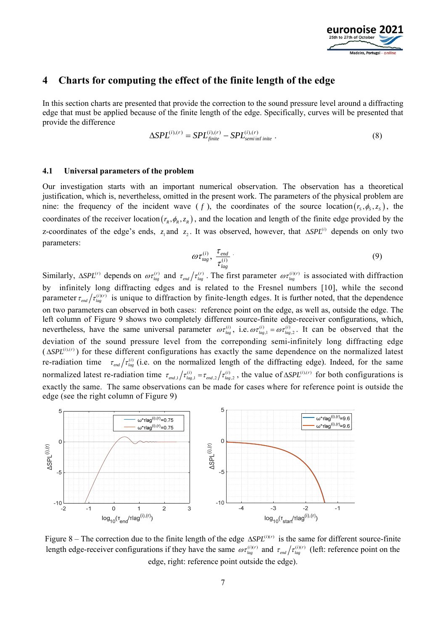

### **4 Charts for computing the effect of the finite length of the edge**

In this section charts are presented that provide the correction to the sound pressure level around a diffracting edge that must be applied because of the finite length of the edge. Specifically, curves will be presented that provide the difference

$$
\Delta SPL^{(i),(r)} = SPL^{(i),(r)}_{finite} - SPL^{(i),(r)}_{semi\,finite} \tag{8}
$$

#### **4.1 Universal parameters of the problem**

Our investigation starts with an important numerical observation. The observation has a theoretical justification, which is, nevertheless, omitted in the present work. The parameters of the physical problem are nine: the frequency of the incident wave  $(f)$ , the coordinates of the source location  $(r_s, \phi_s, z_s)$ , the coordinates of the receiver location  $(r_R, \phi_R, z_R)$ , and the location and length of the finite edge provided by the z-coordinates of the edge's ends,  $z_1$  and  $z_2$ . It was observed, however, that  $\Delta SPL^{(i)}$  depends on only two parameters:

$$
\omega \tau_{tag}^{(i)}, \frac{\tau_{end}}{\tau_{lag}^{(i)}} \tag{9}
$$

Similarly,  $\Delta SPL^{(r)}$  depends on  $\omega \tau_{lag}^{(r)}$  and  $\tau_{end}/\tau_{lag}^{(r)}$ . The first parameter  $\omega \tau_{lag}^{(i)(r)}$  is associated with diffraction by infinitely long diffracting edges and is related to the Fresnel numbers [10], while the second parameter  $\tau_{end}/\tau_{lag}^{(i)(r)}$  is unique to diffraction by finite-length edges. It is further noted, that the dependence on two parameters can observed in both cases: reference point on the edge, as well as, outside the edge. The left column of Figure 9 shows two completely different source-finite edge-receiver configurations, which, nevertheless, have the same universal parameter  $\omega \tau_{lag}^{(i)}$ , i.e.  $\omega \tau_{lag,1}^{(i)} = \omega \tau_{lag,2}^{(i)}$ . It can be observed that the deviation of the sound pressure level from the correponding semi-infinitely long diffracting edge  $(\Delta SPL^{(i),(r)})$  for these different configurations has exactly the same dependence on the normalized latest re-radiation time  $\tau_{end}/\tau_{lag}^{(i)}$  (i.e. on the normalized length of the diffracting edge). Indeed, for the same normalized latest re-radiation time  $\tau_{end,1}/\tau_{lag,1}^{(i)} = \tau_{end,2}/\tau_{lag,2}^{(i)}$ , the value of  $\Delta SPL^{(i),(r)}$  for both configurations is exactly the same. The same observations can be made for cases where for reference point is outside the edge (see the right column of Figure 9)



Figure 8 – The correction due to the finite length of the edge  $\Delta SPL^{(i)(r)}$  is the same for different source-finite length edge-receiver configurations if they have the same  $\omega \tau_{lag}^{(i)(r)}$  and  $\tau_{end}/\tau_{lag}^{(i)(r)}$  (left: reference point on the edge, right: reference point outside the edge).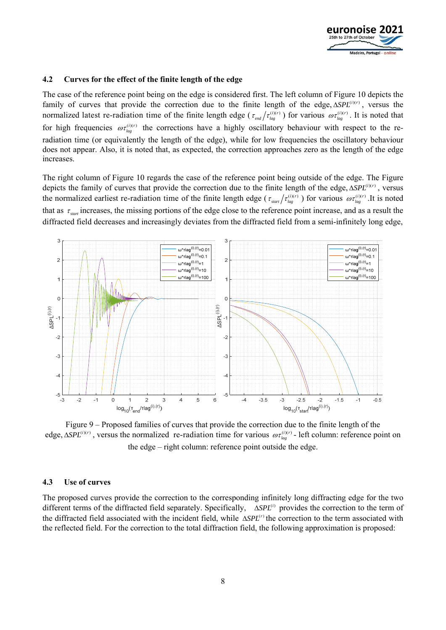

#### **4.2 Curves for the effect of the finite length of the edge**

The case of the reference point being on the edge is considered first. The left column of Figure 10 depicts the family of curves that provide the correction due to the finite length of the edge,  $\Delta SPL^{(i)(r)}$ , versus the normalized latest re-radiation time of the finite length edge ( $\tau_{end}/\tau_{lag}^{(i)(r)}$ ) for various  $\omega\tau_{lag}^{(i)(r)}$ . It is noted that for high frequencies  $\omega \tau_{\mu}^{(i)(r)}$  the corrections have a highly oscillatory behaviour with respect to the reradiation time (or equivalently the length of the edge), while for low frequencies the oscillatory behaviour does not appear. Also, it is noted that, as expected, the correction approaches zero as the length of the edge increases.

The right column of Figure 10 regards the case of the reference point being outside of the edge. The Figure depicts the family of curves that provide the correction due to the finite length of the edge,  $\Delta SPL^{(i)(r)}$ , versus the normalized earliest re-radiation time of the finite length edge ( $\tau_{\text{start}}/\tau_{\text{lag}}^{(i)(r)}$ ) for various  $\omega\tau_{\text{lag}}^{(i)(r)}$ .It is noted that as  $\tau_{\text{start}}$  increases, the missing portions of the edge close to the reference point increase, and as a result the diffracted field decreases and increasingly deviates from the diffracted field from a semi-infinitely long edge,



Figure 9 – Proposed families of curves that provide the correction due to the finite length of the edge,  $\Delta SPL^{(i)(r)}$ , versus the normalized re-radiation time for various  $\omega \tau_{lag}^{(i)(r)}$  - left column: reference point on the edge – right column: reference point outside the edge.

#### **4.3 Use of curves**

The proposed curves provide the correction to the corresponding infinitely long diffracting edge for the two different terms of the diffracted field separately. Specifically,  $\Delta SPL^{(i)}$  provides the correction to the term of the diffracted field associated with the incident field, while  $\Delta SPL^{(r)}$  the correction to the term associated with the reflected field. For the correction to the total diffraction field, the following approximation is proposed: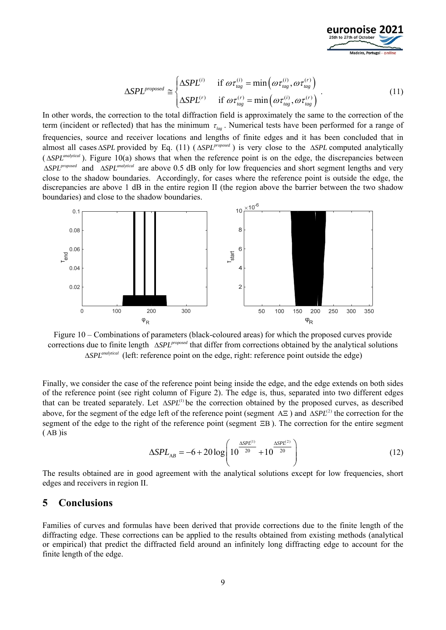

$$
\Delta SPL^{proposed} \cong \begin{cases} \Delta SPL^{(i)} & \text{if } \omega \tau_{tag}^{(i)} = \min(\omega \tau_{tag}^{(i)}, \omega \tau_{tag}^{(r)})\\ \Delta SPL^{(r)} & \text{if } \omega \tau_{tag}^{(r)} = \min(\omega \tau_{tag}^{(i)}, \omega \tau_{tag}^{(r)}) \end{cases} . \tag{11}
$$

In other words, the correction to the total diffraction field is approximately the same to the correction of the term (incident or reflected) that has the minimum  $\tau_{\mu}$ . Numerical tests have been performed for a range of frequencies, source and receiver locations and lengths of finite edges and it has been concluded that in almost all cases  $\triangle SPL$  provided by Eq. (11) ( $\triangle SPL^{proposed}$ ) is very close to the  $\triangle SPL$  computed analytically  $( \Delta SPL^{analytical})$ . Figure 10(a) shows that when the reference point is on the edge, the discrepancies between  $\triangle$ *SPL*<sup>*proposed*</sup> and  $\triangle$ *SPL*<sup>*analytical*</sup> are above 0.5 dB only for low frequencies and short segment lengths and very close to the shadow boundaries. Accordingly, for cases where the reference point is outside the edge, the discrepancies are above 1 dB in the entire region II (the region above the barrier between the two shadow boundaries) and close to the shadow boundaries.



Figure 10 – Combinations of parameters (black-coloured areas) for which the proposed curves provide corrections due to finite length *ASPL<sup>proposed</sup>* that differ from corrections obtained by the analytical solutions  $\Delta SPL^{analytical}$  (left: reference point on the edge, right: reference point outside the edge)

Finally, we consider the case of the reference point being inside the edge, and the edge extends on both sides of the reference point (see right column of Figure 2). The edge is, thus, separated into two different edges that can be treated separately. Let  $\triangle SPL^{(1)}$  be the correction obtained by the proposed curves, as described above, for the segment of the edge left of the reference point (segment  $AE$ ) and  $\Delta SPL^{(2)}$  the correction for the segment of the edge to the right of the reference point (segment  $\Xi$ B). The correction for the entire segment  $(AB)$ is

$$
\Delta SPL_{AB} = -6 + 20 \log \left( 10^{\frac{\Delta SPL^{(1)}}{20}} + 10^{\frac{\Delta SPL^{(2)}}{20}} \right) \tag{12}
$$

The results obtained are in good agreement with the analytical solutions except for low frequencies, short edges and receivers in region II.

# **5 Conclusions**

Families of curves and formulas have been derived that provide corrections due to the finite length of the diffracting edge. These corrections can be applied to the results obtained from existing methods (analytical or empirical) that predict the diffracted field around an infinitely long diffracting edge to account for the finite length of the edge.